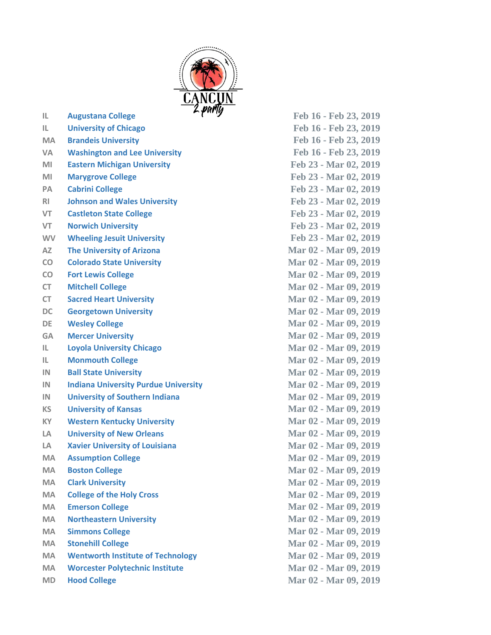

**MA Brandeis University Feb 16 - Feb 23, 2019 VA Washington and Lee University Feb 16 - Feb 23, 2019 MI Eastern Michigan University Feb 23 - Mar 02, 2019 MI Marygrove College Feb 23 - Mar 02, 2019 PA Cabrini College Feb 23 - Mar 02, 2019 RI Johnson and Wales University Feb 23 - Mar 02, 2019 VT Castleton State College Feb 23 - Mar 02, 2019 VT Norwich University Feb 23 - Mar 02, 2019 WV Wheeling Jesuit University Feb 23 - Mar 02, 2019 AZ The University of Arizona Mar 02 - Mar 09, 2019 CO Colorado State University Mar 02 - Mar 09, 2019 CO Fort Lewis College Mar 02 - Mar 09, 2019 CT Mitchell College Mar 02 - Mar 09, 2019 CT Sacred Heart University Mar 02 - Mar 09, 2019 DC Georgetown University Mar 02 - Mar 09, 2019 DE Wesley College Mar 02 - Mar 09, 2019 GA Mercer University Mar 02 - Mar 09, 2019 IL Loyola University Chicago Mar 02 - Mar 09, 2019 IL Monmouth College Mar 02 - Mar 09, 2019 IN Ball State University Mar 02 - Mar 09, 2019 IN Indiana University Purdue University Mar 02 - Mar 09, 2019 IN University of Southern Indiana Mar 02 - Mar 09, 2019 KS University of Kansas Mar 02 - Mar 09, 2019 KY Western Kentucky University Mar 02 - Mar 09, 2019 LA University of New Orleans Mar 02 - Mar 09, 2019 LA Xavier University of Louisiana Mar 02 - Mar 09, 2019** MA **Assumption College Mar 02 - Mar 09, 2019 MA Boston College Mar 02 - Mar 09, 2019 MA Clark University Mar 02 - Mar 09, 2019 MA College of the Holy Cross Mar 02 - Mar 09, 2019 MA Emerson College Mar 02 - Mar 09, 2019 MA Northeastern University Mar 02 - Mar 09, 2019 MA Simmons College Mar 02 - Mar 09, 2019 MA Stonehill College Mar 02 - Mar 09, 2019** MA **Wentworth Institute of Technology Mar 02 - Mar 09, 2019 MA Worcester Polytechnic Institute Mar 02 - Mar 09, 2019 MD Hood College Mar 02 - Mar 09, 2019**

**IL Augustana College Feb 16 - Feb 23, 2019 IL University of Chicago Feb 16 - Feb 23, 2019**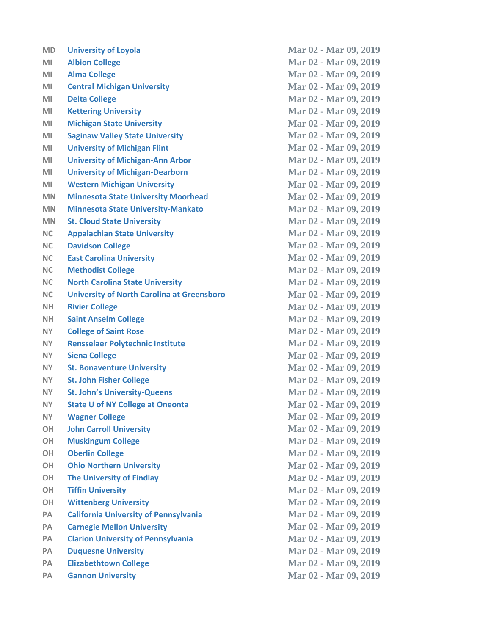| <b>MD</b> | <b>University of Loyola</b>                       | Mar 02 - Mar 09, 2019 |
|-----------|---------------------------------------------------|-----------------------|
| MI        | <b>Albion College</b>                             | Mar 02 - Mar 09, 2019 |
| MI        | <b>Alma College</b>                               | Mar 02 - Mar 09, 2019 |
| MI        | <b>Central Michigan University</b>                | Mar 02 - Mar 09, 2019 |
| MI        | <b>Delta College</b>                              | Mar 02 - Mar 09, 2019 |
| MI        | <b>Kettering University</b>                       | Mar 02 - Mar 09, 2019 |
| MI        | <b>Michigan State University</b>                  | Mar 02 - Mar 09, 2019 |
| MI        | <b>Saginaw Valley State University</b>            | Mar 02 - Mar 09, 2019 |
| MI        | <b>University of Michigan Flint</b>               | Mar 02 - Mar 09, 2019 |
| MI        | <b>University of Michigan-Ann Arbor</b>           | Mar 02 - Mar 09, 2019 |
| MI        | <b>University of Michigan-Dearborn</b>            | Mar 02 - Mar 09, 2019 |
| MI        | <b>Western Michigan University</b>                | Mar 02 - Mar 09, 2019 |
| <b>MN</b> | <b>Minnesota State University Moorhead</b>        | Mar 02 - Mar 09, 2019 |
| <b>MN</b> | <b>Minnesota State University-Mankato</b>         | Mar 02 - Mar 09, 2019 |
| <b>MN</b> | <b>St. Cloud State University</b>                 | Mar 02 - Mar 09, 2019 |
| <b>NC</b> | <b>Appalachian State University</b>               | Mar 02 - Mar 09, 2019 |
| <b>NC</b> | <b>Davidson College</b>                           | Mar 02 - Mar 09, 2019 |
| <b>NC</b> | <b>East Carolina University</b>                   | Mar 02 - Mar 09, 2019 |
| <b>NC</b> | <b>Methodist College</b>                          | Mar 02 - Mar 09, 2019 |
| <b>NC</b> | <b>North Carolina State University</b>            | Mar 02 - Mar 09, 2019 |
| <b>NC</b> | <b>University of North Carolina at Greensboro</b> | Mar 02 - Mar 09, 2019 |
| <b>NH</b> | <b>Rivier College</b>                             | Mar 02 - Mar 09, 2019 |
| <b>NH</b> | <b>Saint Anselm College</b>                       | Mar 02 - Mar 09, 2019 |
| NY.       | <b>College of Saint Rose</b>                      | Mar 02 - Mar 09, 2019 |
| <b>NY</b> | <b>Rensselaer Polytechnic Institute</b>           | Mar 02 - Mar 09, 2019 |
| <b>NY</b> | <b>Siena College</b>                              | Mar 02 - Mar 09, 2019 |
| <b>NY</b> | <b>St. Bonaventure University</b>                 | Mar 02 - Mar 09, 2019 |
| <b>NY</b> | <b>St. John Fisher College</b>                    | Mar 02 - Mar 09, 2019 |
| <b>NY</b> | <b>St. John's University-Queens</b>               | Mar 02 - Mar 09, 2019 |
| NY.       | <b>State U of NY College at Oneonta</b>           | Mar 02 - Mar 09, 2019 |
| <b>NY</b> | <b>Wagner College</b>                             | Mar 02 - Mar 09, 2019 |
| <b>OH</b> | <b>John Carroll University</b>                    | Mar 02 - Mar 09, 2019 |
| <b>OH</b> | <b>Muskingum College</b>                          | Mar 02 - Mar 09, 2019 |
| <b>OH</b> | <b>Oberlin College</b>                            | Mar 02 - Mar 09, 2019 |
| <b>OH</b> | <b>Ohio Northern University</b>                   | Mar 02 - Mar 09, 2019 |
| <b>OH</b> | <b>The University of Findlay</b>                  | Mar 02 - Mar 09, 2019 |
| <b>OH</b> | <b>Tiffin University</b>                          | Mar 02 - Mar 09, 2019 |
| <b>OH</b> | <b>Wittenberg University</b>                      | Mar 02 - Mar 09, 2019 |
| PA        | <b>California University of Pennsylvania</b>      | Mar 02 - Mar 09, 2019 |
| PA        | <b>Carnegie Mellon University</b>                 | Mar 02 - Mar 09, 2019 |
| PA        | <b>Clarion University of Pennsylvania</b>         | Mar 02 - Mar 09, 2019 |
| <b>PA</b> | <b>Duquesne University</b>                        | Mar 02 - Mar 09, 2019 |
| PA        | <b>Elizabethtown College</b>                      | Mar 02 - Mar 09, 2019 |
| <b>PA</b> | <b>Gannon University</b>                          | Mar 02 - Mar 09, 2019 |
|           |                                                   |                       |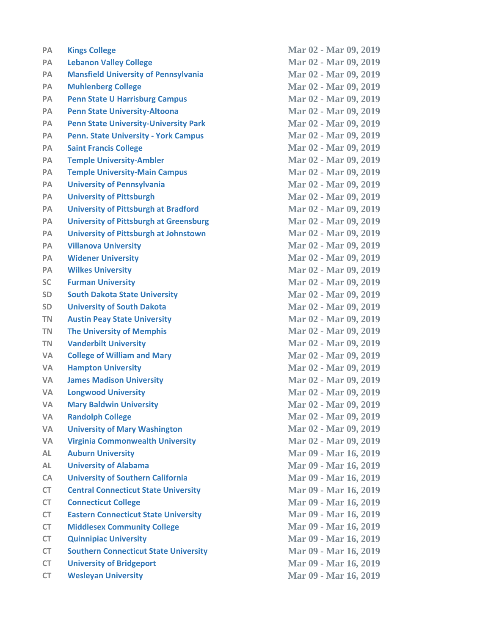| PA        | <b>Kings College</b>                          | Mar 02 - Mar 09, 2019 |
|-----------|-----------------------------------------------|-----------------------|
| <b>PA</b> | <b>Lebanon Valley College</b>                 | Mar 02 - Mar 09, 2019 |
| PA        | <b>Mansfield University of Pennsylvania</b>   | Mar 02 - Mar 09, 2019 |
| PA        | <b>Muhlenberg College</b>                     | Mar 02 - Mar 09, 2019 |
| PA        | <b>Penn State U Harrisburg Campus</b>         | Mar 02 - Mar 09, 2019 |
| PA        | <b>Penn State University-Altoona</b>          | Mar 02 - Mar 09, 2019 |
| PA        | <b>Penn State University-University Park</b>  | Mar 02 - Mar 09, 2019 |
| PA        | <b>Penn. State University - York Campus</b>   | Mar 02 - Mar 09, 2019 |
| <b>PA</b> | <b>Saint Francis College</b>                  | Mar 02 - Mar 09, 2019 |
| <b>PA</b> | <b>Temple University-Ambler</b>               | Mar 02 - Mar 09, 2019 |
| PA        | <b>Temple University-Main Campus</b>          | Mar 02 - Mar 09, 2019 |
| PA        | <b>University of Pennsylvania</b>             | Mar 02 - Mar 09, 2019 |
| PA        | <b>University of Pittsburgh</b>               | Mar 02 - Mar 09, 2019 |
| PA        | <b>University of Pittsburgh at Bradford</b>   | Mar 02 - Mar 09, 2019 |
| PA        | <b>University of Pittsburgh at Greensburg</b> | Mar 02 - Mar 09, 2019 |
| PA        | <b>University of Pittsburgh at Johnstown</b>  | Mar 02 - Mar 09, 2019 |
| PA        | <b>Villanova University</b>                   | Mar 02 - Mar 09, 2019 |
| PA        | <b>Widener University</b>                     | Mar 02 - Mar 09, 2019 |
| PA        | <b>Wilkes University</b>                      | Mar 02 - Mar 09, 2019 |
| <b>SC</b> | <b>Furman University</b>                      | Mar 02 - Mar 09, 2019 |
| SD        | <b>South Dakota State University</b>          | Mar 02 - Mar 09, 2019 |
| SD        | <b>University of South Dakota</b>             | Mar 02 - Mar 09, 2019 |
| <b>TN</b> | <b>Austin Peay State University</b>           | Mar 02 - Mar 09, 2019 |
| <b>TN</b> | <b>The University of Memphis</b>              | Mar 02 - Mar 09, 2019 |
| <b>TN</b> | <b>Vanderbilt University</b>                  | Mar 02 - Mar 09, 2019 |
| <b>VA</b> | <b>College of William and Mary</b>            | Mar 02 - Mar 09, 2019 |
| <b>VA</b> | <b>Hampton University</b>                     | Mar 02 - Mar 09, 2019 |
| <b>VA</b> | <b>James Madison University</b>               | Mar 02 - Mar 09, 2019 |
| <b>VA</b> | <b>Longwood University</b>                    | Mar 02 - Mar 09, 2019 |
| <b>VA</b> | <b>Mary Baldwin University</b>                | Mar 02 - Mar 09, 2019 |
| <b>VA</b> | <b>Randolph College</b>                       | Mar 02 - Mar 09, 2019 |
| <b>VA</b> | <b>University of Mary Washington</b>          | Mar 02 - Mar 09, 2019 |
| <b>VA</b> | <b>Virginia Commonwealth University</b>       | Mar 02 - Mar 09, 2019 |
| <b>AL</b> | <b>Auburn University</b>                      | Mar 09 - Mar 16, 2019 |
| <b>AL</b> | <b>University of Alabama</b>                  | Mar 09 - Mar 16, 2019 |
| CA        | <b>University of Southern California</b>      | Mar 09 - Mar 16, 2019 |
| <b>CT</b> | <b>Central Connecticut State University</b>   | Mar 09 - Mar 16, 2019 |
| <b>CT</b> | <b>Connecticut College</b>                    | Mar 09 - Mar 16, 2019 |
| <b>CT</b> | <b>Eastern Connecticut State University</b>   | Mar 09 - Mar 16, 2019 |
| <b>CT</b> | <b>Middlesex Community College</b>            | Mar 09 - Mar 16, 2019 |
| <b>CT</b> | <b>Quinnipiac University</b>                  | Mar 09 - Mar 16, 2019 |
| <b>CT</b> | <b>Southern Connecticut State University</b>  | Mar 09 - Mar 16, 2019 |
| <b>CT</b> | <b>University of Bridgeport</b>               | Mar 09 - Mar 16, 2019 |
| <b>CT</b> | <b>Wesleyan University</b>                    | Mar 09 - Mar 16, 2019 |
|           |                                               |                       |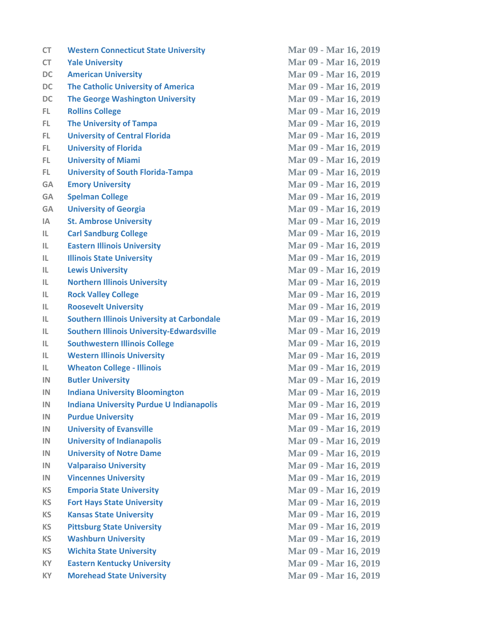| CT        | <b>Western Connecticut State University</b>       | Mar 09 - Mar 16, 2019 |
|-----------|---------------------------------------------------|-----------------------|
| <b>CT</b> | <b>Yale University</b>                            | Mar 09 - Mar 16, 2019 |
| <b>DC</b> | <b>American University</b>                        | Mar 09 - Mar 16, 2019 |
| <b>DC</b> | <b>The Catholic University of America</b>         | Mar 09 - Mar 16, 2019 |
| <b>DC</b> | <b>The George Washington University</b>           | Mar 09 - Mar 16, 2019 |
| FL.       | <b>Rollins College</b>                            | Mar 09 - Mar 16, 2019 |
| FL.       | <b>The University of Tampa</b>                    | Mar 09 - Mar 16, 2019 |
| FL.       | <b>University of Central Florida</b>              | Mar 09 - Mar 16, 2019 |
| FL.       | <b>University of Florida</b>                      | Mar 09 - Mar 16, 2019 |
| FL.       | <b>University of Miami</b>                        | Mar 09 - Mar 16, 2019 |
| FL.       | <b>University of South Florida-Tampa</b>          | Mar 09 - Mar 16, 2019 |
| <b>GA</b> | <b>Emory University</b>                           | Mar 09 - Mar 16, 2019 |
| <b>GA</b> | <b>Spelman College</b>                            | Mar 09 - Mar 16, 2019 |
| <b>GA</b> | <b>University of Georgia</b>                      | Mar 09 - Mar 16, 2019 |
| IA        | <b>St. Ambrose University</b>                     | Mar 09 - Mar 16, 2019 |
| IL.       | <b>Carl Sandburg College</b>                      | Mar 09 - Mar 16, 2019 |
| IL.       | <b>Eastern Illinois University</b>                | Mar 09 - Mar 16, 2019 |
| IL        | <b>Illinois State University</b>                  | Mar 09 - Mar 16, 2019 |
| IL        | <b>Lewis University</b>                           | Mar 09 - Mar 16, 2019 |
| IL        | <b>Northern Illinois University</b>               | Mar 09 - Mar 16, 2019 |
| IL        | <b>Rock Valley College</b>                        | Mar 09 - Mar 16, 2019 |
| IL        | <b>Roosevelt University</b>                       | Mar 09 - Mar 16, 2019 |
| IL        | <b>Southern Illinois University at Carbondale</b> | Mar 09 - Mar 16, 2019 |
| IL        | <b>Southern Illinois University-Edwardsville</b>  | Mar 09 - Mar 16, 2019 |
| IL        | <b>Southwestern Illinois College</b>              | Mar 09 - Mar 16, 2019 |
| IL        | <b>Western Illinois University</b>                | Mar 09 - Mar 16, 2019 |
| IL.       | <b>Wheaton College - Illinois</b>                 | Mar 09 - Mar 16, 2019 |
| IN        | <b>Butler University</b>                          | Mar 09 - Mar 16, 2019 |
| IN        | <b>Indiana University Bloomington</b>             | Mar 09 - Mar 16, 2019 |
| IN        | <b>Indiana University Purdue U Indianapolis</b>   | Mar 09 - Mar 16, 2019 |
| IN        | <b>Purdue University</b>                          | Mar 09 - Mar 16, 2019 |
| IN        | <b>University of Evansville</b>                   | Mar 09 - Mar 16, 2019 |
| IN        | <b>University of Indianapolis</b>                 | Mar 09 - Mar 16, 2019 |
| IN        | <b>University of Notre Dame</b>                   | Mar 09 - Mar 16, 2019 |
| IN        | <b>Valparaiso University</b>                      | Mar 09 - Mar 16, 2019 |
| IN        | <b>Vincennes University</b>                       | Mar 09 - Mar 16, 2019 |
| <b>KS</b> | <b>Emporia State University</b>                   | Mar 09 - Mar 16, 2019 |
| <b>KS</b> | <b>Fort Hays State University</b>                 | Mar 09 - Mar 16, 2019 |
| <b>KS</b> | <b>Kansas State University</b>                    | Mar 09 - Mar 16, 2019 |
| <b>KS</b> | <b>Pittsburg State University</b>                 | Mar 09 - Mar 16, 2019 |
| <b>KS</b> | <b>Washburn University</b>                        | Mar 09 - Mar 16, 2019 |
| <b>KS</b> | <b>Wichita State University</b>                   | Mar 09 - Mar 16, 2019 |
| KY        | <b>Eastern Kentucky University</b>                | Mar 09 - Mar 16, 2019 |
| <b>KY</b> | <b>Morehead State University</b>                  | Mar 09 - Mar 16, 2019 |
|           |                                                   |                       |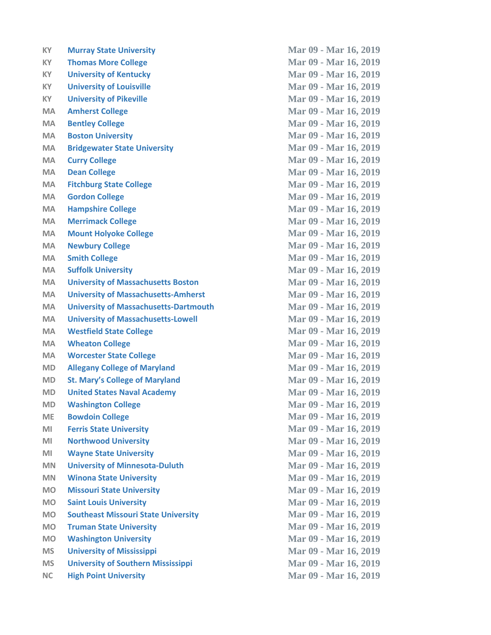| КY        | <b>Murray State University</b>               |
|-----------|----------------------------------------------|
| КY        | <b>Thomas More College</b>                   |
| KY        | <b>University of Kentucky</b>                |
| <b>KY</b> | <b>University of Louisville</b>              |
| KY.       | <b>University of Pikeville</b>               |
| MA        | <b>Amherst College</b>                       |
| MA        | <b>Bentley College</b>                       |
| <b>MA</b> | <b>Boston University</b>                     |
| MA        | <b>Bridgewater State University</b>          |
| <b>MA</b> | <b>Curry College</b>                         |
| <b>MA</b> | <b>Dean College</b>                          |
| <b>MA</b> | <b>Fitchburg State College</b>               |
| MA        | <b>Gordon College</b>                        |
| MA        | <b>Hampshire College</b>                     |
| MA        | <b>Merrimack College</b>                     |
| <b>MA</b> | <b>Mount Holyoke College</b>                 |
| <b>MA</b> | <b>Newbury College</b>                       |
| <b>MA</b> | <b>Smith College</b>                         |
| <b>MA</b> | <b>Suffolk University</b>                    |
| MA        | <b>University of Massachusetts Boston</b>    |
| MA        | <b>University of Massachusetts-Amherst</b>   |
| MA        | <b>University of Massachusetts-Dartmouth</b> |
| <b>MA</b> | <b>University of Massachusetts-Lowell</b>    |
| MA        | <b>Westfield State College</b>               |
| <b>MA</b> | <b>Wheaton College</b>                       |
| <b>MA</b> | <b>Worcester State College</b>               |
| MD        | <b>Allegany College of Maryland</b>          |
| MD        | <b>St. Mary's College of Maryland</b>        |
| MD        | <b>United States Naval Academy</b>           |
| <b>MD</b> | <b>Washington College</b>                    |
| <b>ME</b> | <b>Bowdoin College</b>                       |
| MI        | <b>Ferris State University</b>               |
| MI        | <b>Northwood University</b>                  |
| MI        | <b>Wayne State University</b>                |
| <b>MN</b> | <b>University of Minnesota-Duluth</b>        |
| <b>MN</b> | <b>Winona State University</b>               |
| <b>MO</b> | <b>Missouri State University</b>             |
| <b>MO</b> | <b>Saint Louis University</b>                |
| <b>MO</b> | <b>Southeast Missouri State University</b>   |
| <b>MO</b> | <b>Truman State University</b>               |
| <b>MO</b> | <b>Washington University</b>                 |
| <b>MS</b> | <b>University of Mississippi</b>             |
| <b>MS</b> | <b>University of Southern Mississippi</b>    |
| <b>NC</b> | <b>High Point University</b>                 |
|           |                                              |

**Mar 09 - Mar 16, 2019 Mar 09 - Mar 16, 2019 Mar 09 - Mar 16, 2019 Mar 09 - Mar 16, 2019 Mar 09 - Mar 16, 2019 Mar 09 - Mar 16, 2019 Mar 09 - Mar 16, 2019 Mar 09 - Mar 16, 2019 Mar 09 - Mar 16, 2019 Mar 09 - Mar 16, 2019 Mar 09 - Mar 16, 2019 Mar 09 - Mar 16, 2019 Mar 09 - Mar 16, 2019 Mar 09 - Mar 16, 2019 Mar 09 - Mar 16, 2019 MA Mount Holyoke College Mar 09 - Mar 16, 2019 Mar 09 - Mar 16, 2019 MA Smith College Mar 09 - Mar 16, 2019 MA Suffolk University Mar 09 - Mar 16, 2019 MA University of Massachusetts Boston Mar 09 - Mar 16, 2019 MA University of Massachusetts-Amherst Mar 09 - Mar 16, 2019 Mar 09 - Mar 16, 2019 MA University of Massachusetts-Lowell Mar 09 - Mar 16, 2019 MA Westfield State College Mar 09 - Mar 16, 2019 Mar 09 - Mar 16, 2019 Mar 09 - Mar 16, 2019 Mar 09 - Mar 16, 2019 Mar 09 - Mar 16, 2019 Mar 09 - Mar 16, 2019 Mar 09 - Mar 16, 2019 Mar 09 - Mar 16, 2019 Mar 09 - Mar 16, 2019 Mar 09 - Mar 16, 2019 Mar 09 - Mar 16, 2019 Mar 09 - Mar 16, 2019 MN Winona State University Mar 09 - Mar 16, 2019 Mar 09 - Mar 16, 2019 Mar 09 - Mar 16, 2019 Mar 09 - Mar 16, 2019 Mar 09 - Mar 16, 2019 Mar 09 - Mar 16, 2019 MS University of Mississippi Mar 09 - Mar 16, 2019 MS University of Southern Mississippi Mar 09 - Mar 16, 2019 NC High Point University Mar 09 - Mar 16, 2019**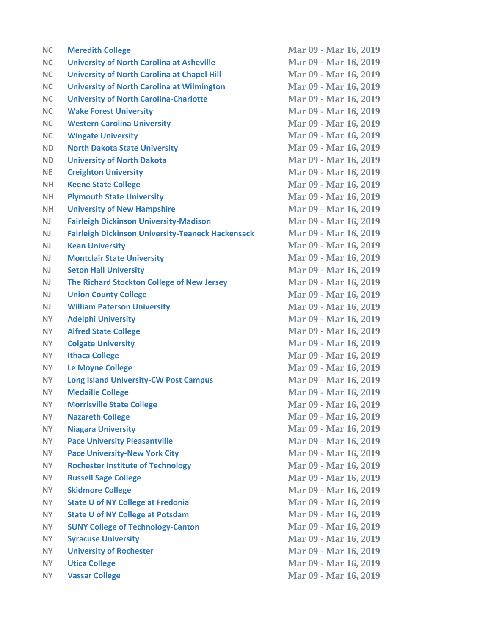| <b>NC</b> | <b>Meredith College</b>                                  | Mar 09 - Mar 16, 2019 |
|-----------|----------------------------------------------------------|-----------------------|
| <b>NC</b> | <b>University of North Carolina at Asheville</b>         | Mar 09 - Mar 16, 2019 |
| <b>NC</b> | <b>University of North Carolina at Chapel Hill</b>       | Mar 09 - Mar 16, 2019 |
| <b>NC</b> | <b>University of North Carolina at Wilmington</b>        | Mar 09 - Mar 16, 2019 |
| <b>NC</b> | <b>University of North Carolina-Charlotte</b>            | Mar 09 - Mar 16, 2019 |
| <b>NC</b> | <b>Wake Forest University</b>                            | Mar 09 - Mar 16, 2019 |
| <b>NC</b> | <b>Western Carolina University</b>                       | Mar 09 - Mar 16, 2019 |
| <b>NC</b> | <b>Wingate University</b>                                | Mar 09 - Mar 16, 2019 |
| <b>ND</b> | <b>North Dakota State University</b>                     | Mar 09 - Mar 16, 2019 |
| <b>ND</b> | <b>University of North Dakota</b>                        | Mar 09 - Mar 16, 2019 |
| <b>NE</b> | <b>Creighton University</b>                              | Mar 09 - Mar 16, 2019 |
| <b>NH</b> | <b>Keene State College</b>                               | Mar 09 - Mar 16, 2019 |
| NH.       | <b>Plymouth State University</b>                         | Mar 09 - Mar 16, 2019 |
| <b>NH</b> | <b>University of New Hampshire</b>                       | Mar 09 - Mar 16, 2019 |
| NJ        | <b>Fairleigh Dickinson University-Madison</b>            | Mar 09 - Mar 16, 2019 |
| NJ        | <b>Fairleigh Dickinson University-Teaneck Hackensack</b> | Mar 09 - Mar 16, 2019 |
| <b>NJ</b> | <b>Kean University</b>                                   | Mar 09 - Mar 16, 2019 |
| <b>NJ</b> | <b>Montclair State University</b>                        | Mar 09 - Mar 16, 2019 |
| NJ        | <b>Seton Hall University</b>                             | Mar 09 - Mar 16, 2019 |
| <b>NJ</b> | The Richard Stockton College of New Jersey               | Mar 09 - Mar 16, 2019 |
| NJ        | <b>Union County College</b>                              | Mar 09 - Mar 16, 2019 |
| <b>NJ</b> | <b>William Paterson University</b>                       | Mar 09 - Mar 16, 2019 |
| <b>NY</b> | <b>Adelphi University</b>                                | Mar 09 - Mar 16, 2019 |
| NY.       | <b>Alfred State College</b>                              | Mar 09 - Mar 16, 2019 |
| <b>NY</b> | <b>Colgate University</b>                                | Mar 09 - Mar 16, 2019 |
| <b>NY</b> | <b>Ithaca College</b>                                    | Mar 09 - Mar 16, 2019 |
| <b>NY</b> | <b>Le Moyne College</b>                                  | Mar 09 - Mar 16, 2019 |
| <b>NY</b> | <b>Long Island University-CW Post Campus</b>             | Mar 09 - Mar 16, 2019 |
| <b>NY</b> | <b>Medaille College</b>                                  | Mar 09 - Mar 16, 2019 |
| NY.       | <b>Morrisville State College</b>                         | Mar 09 - Mar 16, 2019 |
| <b>NY</b> | <b>Nazareth College</b>                                  | Mar 09 - Mar 16, 2019 |
| <b>NY</b> | <b>Niagara University</b>                                | Mar 09 - Mar 16, 2019 |
| <b>NY</b> | <b>Pace University Pleasantville</b>                     | Mar 09 - Mar 16, 2019 |
| <b>NY</b> | <b>Pace University-New York City</b>                     | Mar 09 - Mar 16, 2019 |
| <b>NY</b> | <b>Rochester Institute of Technology</b>                 | Mar 09 - Mar 16, 2019 |
| <b>NY</b> | <b>Russell Sage College</b>                              | Mar 09 - Mar 16, 2019 |
| <b>NY</b> | <b>Skidmore College</b>                                  | Mar 09 - Mar 16, 2019 |
| <b>NY</b> | <b>State U of NY College at Fredonia</b>                 | Mar 09 - Mar 16, 2019 |
| <b>NY</b> | <b>State U of NY College at Potsdam</b>                  | Mar 09 - Mar 16, 2019 |
| <b>NY</b> | <b>SUNY College of Technology-Canton</b>                 | Mar 09 - Mar 16, 2019 |
| <b>NY</b> | <b>Syracuse University</b>                               | Mar 09 - Mar 16, 2019 |
| <b>NY</b> | <b>University of Rochester</b>                           | Mar 09 - Mar 16, 2019 |
| <b>NY</b> | <b>Utica College</b>                                     | Mar 09 - Mar 16, 2019 |
| <b>NY</b> | <b>Vassar College</b>                                    | Mar 09 - Mar 16, 2019 |
|           |                                                          |                       |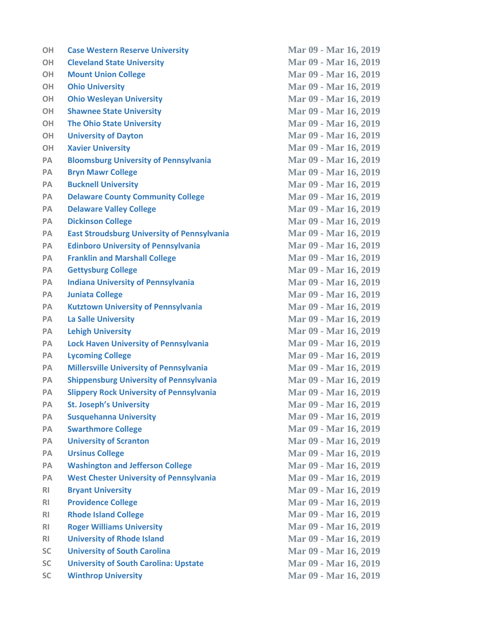| <b>OH</b>      | <b>Case Western Reserve University</b>             | Mar 09 - Mar 16, 2019 |
|----------------|----------------------------------------------------|-----------------------|
| <b>OH</b>      | <b>Cleveland State University</b>                  | Mar 09 - Mar 16, 2019 |
| <b>OH</b>      | <b>Mount Union College</b>                         | Mar 09 - Mar 16, 2019 |
| <b>OH</b>      | <b>Ohio University</b>                             | Mar 09 - Mar 16, 2019 |
| <b>OH</b>      | <b>Ohio Wesleyan University</b>                    | Mar 09 - Mar 16, 2019 |
| <b>OH</b>      | <b>Shawnee State University</b>                    | Mar 09 - Mar 16, 2019 |
| <b>OH</b>      | <b>The Ohio State University</b>                   | Mar 09 - Mar 16, 2019 |
| <b>OH</b>      | <b>University of Dayton</b>                        | Mar 09 - Mar 16, 2019 |
| <b>OH</b>      | <b>Xavier University</b>                           | Mar 09 - Mar 16, 2019 |
| PA             | <b>Bloomsburg University of Pennsylvania</b>       | Mar 09 - Mar 16, 2019 |
| <b>PA</b>      | <b>Bryn Mawr College</b>                           | Mar 09 - Mar 16, 2019 |
| PA             | <b>Bucknell University</b>                         | Mar 09 - Mar 16, 2019 |
| <b>PA</b>      | <b>Delaware County Community College</b>           | Mar 09 - Mar 16, 2019 |
| <b>PA</b>      | <b>Delaware Valley College</b>                     | Mar 09 - Mar 16, 2019 |
| PA             | <b>Dickinson College</b>                           | Mar 09 - Mar 16, 2019 |
| PA             | <b>East Stroudsburg University of Pennsylvania</b> | Mar 09 - Mar 16, 2019 |
| PA             | <b>Edinboro University of Pennsylvania</b>         | Mar 09 - Mar 16, 2019 |
| PA             | <b>Franklin and Marshall College</b>               | Mar 09 - Mar 16, 2019 |
| PA             | <b>Gettysburg College</b>                          | Mar 09 - Mar 16, 2019 |
| PA             | <b>Indiana University of Pennsylvania</b>          | Mar 09 - Mar 16, 2019 |
| PA             | <b>Juniata College</b>                             | Mar 09 - Mar 16, 2019 |
| <b>PA</b>      | <b>Kutztown University of Pennsylvania</b>         | Mar 09 - Mar 16, 2019 |
| PA             | <b>La Salle University</b>                         | Mar 09 - Mar 16, 2019 |
| <b>PA</b>      | <b>Lehigh University</b>                           | Mar 09 - Mar 16, 2019 |
| PA             | <b>Lock Haven University of Pennsylvania</b>       | Mar 09 - Mar 16, 2019 |
| PA             | <b>Lycoming College</b>                            | Mar 09 - Mar 16, 2019 |
| PA             | <b>Millersville University of Pennsylvania</b>     | Mar 09 - Mar 16, 2019 |
| <b>PA</b>      | <b>Shippensburg University of Pennsylvania</b>     | Mar 09 - Mar 16, 2019 |
| PA             | <b>Slippery Rock University of Pennsylvania</b>    | Mar 09 - Mar 16, 2019 |
| PA             | <b>St. Joseph's University</b>                     | Mar 09 - Mar 16, 2019 |
| <b>PA</b>      | <b>Susquehanna University</b>                      | Mar 09 - Mar 16, 2019 |
| PA             | <b>Swarthmore College</b>                          | Mar 09 - Mar 16, 2019 |
| PA             | <b>University of Scranton</b>                      | Mar 09 - Mar 16, 2019 |
| PA             | <b>Ursinus College</b>                             | Mar 09 - Mar 16, 2019 |
| PA             | <b>Washington and Jefferson College</b>            | Mar 09 - Mar 16, 2019 |
| PA             | <b>West Chester University of Pennsylvania</b>     | Mar 09 - Mar 16, 2019 |
| R <sub>l</sub> | <b>Bryant University</b>                           | Mar 09 - Mar 16, 2019 |
| R <sub>l</sub> | <b>Providence College</b>                          | Mar 09 - Mar 16, 2019 |
| R <sub>1</sub> | <b>Rhode Island College</b>                        | Mar 09 - Mar 16, 2019 |
| R <sub>l</sub> | <b>Roger Williams University</b>                   | Mar 09 - Mar 16, 2019 |
| R <sub>1</sub> | <b>University of Rhode Island</b>                  | Mar 09 - Mar 16, 2019 |
| <b>SC</b>      | <b>University of South Carolina</b>                | Mar 09 - Mar 16, 2019 |
| <b>SC</b>      | <b>University of South Carolina: Upstate</b>       | Mar 09 - Mar 16, 2019 |
| <b>SC</b>      | <b>Winthrop University</b>                         | Mar 09 - Mar 16, 2019 |
|                |                                                    |                       |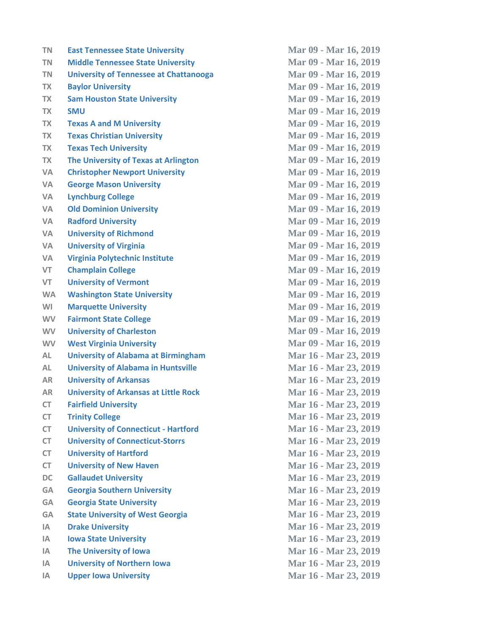| <b>TN</b> | <b>East Tennessee State University</b>        | Mar 09 - Mar 16, 2019 |
|-----------|-----------------------------------------------|-----------------------|
| <b>TN</b> | <b>Middle Tennessee State University</b>      | Mar 09 - Mar 16, 2019 |
| <b>TN</b> | <b>University of Tennessee at Chattanooga</b> | Mar 09 - Mar 16, 2019 |
| <b>TX</b> | <b>Baylor University</b>                      | Mar 09 - Mar 16, 2019 |
| <b>TX</b> | <b>Sam Houston State University</b>           | Mar 09 - Mar 16, 2019 |
| <b>TX</b> | <b>SMU</b>                                    | Mar 09 - Mar 16, 2019 |
| <b>TX</b> | <b>Texas A and M University</b>               | Mar 09 - Mar 16, 2019 |
| <b>TX</b> | <b>Texas Christian University</b>             | Mar 09 - Mar 16, 2019 |
| <b>TX</b> | <b>Texas Tech University</b>                  | Mar 09 - Mar 16, 2019 |
| <b>TX</b> | The University of Texas at Arlington          | Mar 09 - Mar 16, 2019 |
| <b>VA</b> | <b>Christopher Newport University</b>         | Mar 09 - Mar 16, 2019 |
| VA        | <b>George Mason University</b>                | Mar 09 - Mar 16, 2019 |
| <b>VA</b> | <b>Lynchburg College</b>                      | Mar 09 - Mar 16, 2019 |
| <b>VA</b> | <b>Old Dominion University</b>                | Mar 09 - Mar 16, 2019 |
| <b>VA</b> | <b>Radford University</b>                     | Mar 09 - Mar 16, 2019 |
| <b>VA</b> | <b>University of Richmond</b>                 | Mar 09 - Mar 16, 2019 |
| VA        | <b>University of Virginia</b>                 | Mar 09 - Mar 16, 2019 |
| <b>VA</b> | Virginia Polytechnic Institute                | Mar 09 - Mar 16, 2019 |
| <b>VT</b> | <b>Champlain College</b>                      | Mar 09 - Mar 16, 2019 |
| VT        | <b>University of Vermont</b>                  | Mar 09 - Mar 16, 2019 |
| <b>WA</b> | <b>Washington State University</b>            | Mar 09 - Mar 16, 2019 |
| WI        | <b>Marquette University</b>                   | Mar 09 - Mar 16, 2019 |
| <b>WV</b> | <b>Fairmont State College</b>                 | Mar 09 - Mar 16, 2019 |
| <b>WV</b> | <b>University of Charleston</b>               | Mar 09 - Mar 16, 2019 |
| <b>WV</b> | <b>West Virginia University</b>               | Mar 09 - Mar 16, 2019 |
| AL        | <b>University of Alabama at Birmingham</b>    | Mar 16 - Mar 23, 2019 |
| AL        | <b>University of Alabama in Huntsville</b>    | Mar 16 - Mar 23, 2019 |
| <b>AR</b> | <b>University of Arkansas</b>                 | Mar 16 - Mar 23, 2019 |
| <b>AR</b> | <b>University of Arkansas at Little Rock</b>  | Mar 16 - Mar 23, 2019 |
| CT.       | <b>Fairfield University</b>                   | Mar 16 - Mar 23, 2019 |
| <b>CT</b> | <b>Trinity College</b>                        | Mar 16 - Mar 23, 2019 |
| CT        | <b>University of Connecticut - Hartford</b>   | Mar 16 - Mar 23, 2019 |
| <b>CT</b> | <b>University of Connecticut-Storrs</b>       | Mar 16 - Mar 23, 2019 |
| CT        | <b>University of Hartford</b>                 | Mar 16 - Mar 23, 2019 |
| <b>CT</b> | <b>University of New Haven</b>                | Mar 16 - Mar 23, 2019 |
| <b>DC</b> | <b>Gallaudet University</b>                   | Mar 16 - Mar 23, 2019 |
| <b>GA</b> | <b>Georgia Southern University</b>            | Mar 16 - Mar 23, 2019 |
| <b>GA</b> | <b>Georgia State University</b>               | Mar 16 - Mar 23, 2019 |
| <b>GA</b> | <b>State University of West Georgia</b>       | Mar 16 - Mar 23, 2019 |
| IA.       | <b>Drake University</b>                       | Mar 16 - Mar 23, 2019 |
| IA        | <b>Iowa State University</b>                  | Mar 16 - Mar 23, 2019 |
| <b>IA</b> | The University of Iowa                        | Mar 16 - Mar 23, 2019 |
| IΑ        | <b>University of Northern Iowa</b>            | Mar 16 - Mar 23, 2019 |
| IA.       | <b>Upper Iowa University</b>                  | Mar 16 - Mar 23, 2019 |
|           |                                               |                       |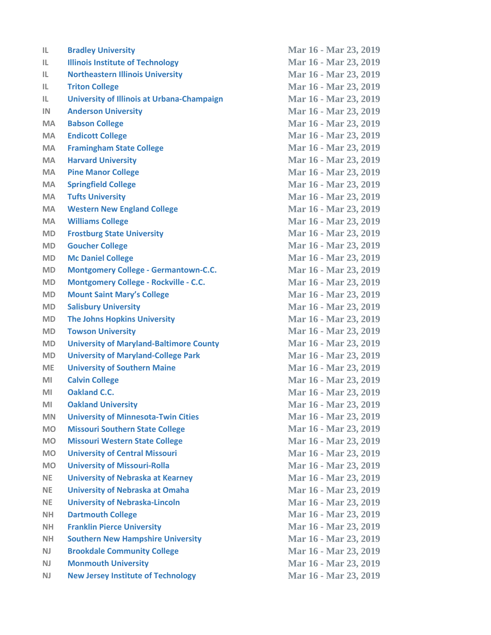| Mar 16 - Mar 23, 2019 |
|-----------------------|
|                       |
| Mar 16 - Mar 23, 2019 |
| Mar 16 - Mar 23, 2019 |
| Mar 16 - Mar 23, 2019 |
| Mar 16 - Mar 23, 2019 |
| Mar 16 - Mar 23, 2019 |
| Mar 16 - Mar 23, 2019 |
| Mar 16 - Mar 23, 2019 |
| Mar 16 - Mar 23, 2019 |
| Mar 16 - Mar 23, 2019 |
| Mar 16 - Mar 23, 2019 |
| Mar 16 - Mar 23, 2019 |
| Mar 16 - Mar 23, 2019 |
| Mar 16 - Mar 23, 2019 |
| Mar 16 - Mar 23, 2019 |
| Mar 16 - Mar 23, 2019 |
| Mar 16 - Mar 23, 2019 |
| Mar 16 - Mar 23, 2019 |
| Mar 16 - Mar 23, 2019 |
| Mar 16 - Mar 23, 2019 |
| Mar 16 - Mar 23, 2019 |
| Mar 16 - Mar 23, 2019 |
| Mar 16 - Mar 23, 2019 |
| Mar 16 - Mar 23, 2019 |
| Mar 16 - Mar 23, 2019 |
| Mar 16 - Mar 23, 2019 |
| Mar 16 - Mar 23, 2019 |
| Mar 16 - Mar 23, 2019 |
| Mar 16 - Mar 23, 2019 |
| Mar 16 - Mar 23, 2019 |
| Mar 16 - Mar 23, 2019 |
| Mar 16 - Mar 23, 2019 |
| Mar 16 - Mar 23, 2019 |
| Mar 16 - Mar 23, 2019 |
| Mar 16 - Mar 23, 2019 |
| Mar 16 - Mar 23, 2019 |
| Mar 16 - Mar 23, 2019 |
| Mar 16 - Mar 23, 2019 |
| Mar 16 - Mar 23, 2019 |
| Mar 16 - Mar 23, 2019 |
| Mar 16 - Mar 23, 2019 |
| Mar 16 - Mar 23, 2019 |
| Mar 16 - Mar 23, 2019 |
|                       |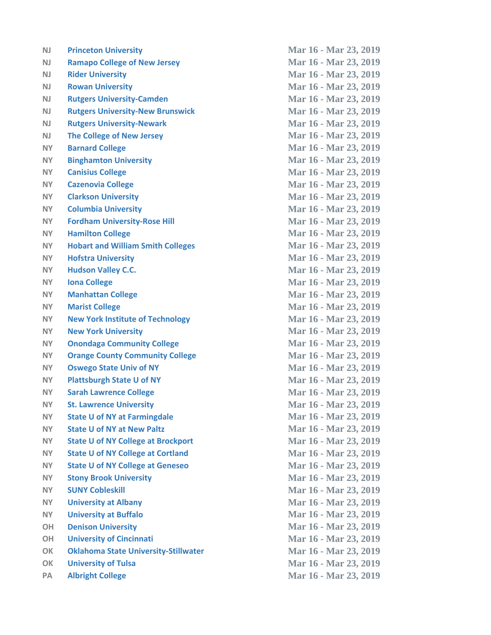| N <sub>J</sub> | <b>Princeton University</b>                 |
|----------------|---------------------------------------------|
| N <sub>J</sub> | <b>Ramapo College of New Jersey</b>         |
| <b>NJ</b>      | <b>Rider University</b>                     |
| <b>NJ</b>      | <b>Rowan University</b>                     |
| <b>NJ</b>      | <b>Rutgers University-Camden</b>            |
| N <sub>J</sub> | <b>Rutgers University-New Brunswick</b>     |
| <b>NJ</b>      | <b>Rutgers University-Newark</b>            |
| <b>NJ</b>      | <b>The College of New Jersey</b>            |
| <b>NY</b>      | <b>Barnard College</b>                      |
| <b>NY</b>      | <b>Binghamton University</b>                |
| <b>NY</b>      | <b>Canisius College</b>                     |
| <b>NY</b>      | <b>Cazenovia College</b>                    |
| NY.            | <b>Clarkson University</b>                  |
| <b>NY</b>      | <b>Columbia University</b>                  |
| <b>NY</b>      | <b>Fordham University-Rose Hill</b>         |
| <b>NY</b>      | <b>Hamilton College</b>                     |
| <b>NY</b>      | <b>Hobart and William Smith Colleges</b>    |
| NY.            | <b>Hofstra University</b>                   |
| NY.            | <b>Hudson Valley C.C.</b>                   |
| <b>NY</b>      | <b>Iona College</b>                         |
| <b>NY</b>      | <b>Manhattan College</b>                    |
| <b>NY</b>      | <b>Marist College</b>                       |
| NY.            | <b>New York Institute of Technology</b>     |
| NY.            | <b>New York University</b>                  |
| NY.            | <b>Onondaga Community College</b>           |
| NY.            | <b>Orange County Community College</b>      |
| <b>NY</b>      | <b>Oswego State Univ of NY</b>              |
| NY.            | <b>Plattsburgh State U of NY</b>            |
| <b>NY</b>      | <b>Sarah Lawrence College</b>               |
| NY             | <b>St. Lawrence University</b>              |
| NY.            | <b>State U of NY at Farmingdale</b>         |
| NY.            | <b>State U of NY at New Paltz</b>           |
| NY.            | <b>State U of NY College at Brockport</b>   |
| <b>NY</b>      | <b>State U of NY College at Cortland</b>    |
| NY.            | <b>State U of NY College at Geneseo</b>     |
| <b>NY</b>      | <b>Stony Brook University</b>               |
| NY.            | <b>SUNY Cobleskill</b>                      |
| NY.            | <b>University at Albany</b>                 |
| NY.            | <b>University at Buffalo</b>                |
| <b>OH</b>      | <b>Denison University</b>                   |
| <b>OH</b>      | <b>University of Cincinnati</b>             |
| OK             | <b>Oklahoma State University-Stillwater</b> |
| OK             | <b>University of Tulsa</b>                  |
| PA             | <b>Albright College</b>                     |
|                |                                             |

**Mar 16 - Mar 23, 2019 Mar 16 - Mar 23, 2019 Mar 16 - Mar 23, 2019 Mar 16 - Mar 23, 2019 Mar 16 - Mar 23, 2019 Mar 16 - Mar 23, 2019 Mar 16 - Mar 23, 2019 Mar 16 - Mar 23, 2019 Mar 16 - Mar 23, 2019 NY Binghamton University Mar 16 - Mar 23, 2019 Mar 16 - Mar 23, 2019 Mar 16 - Mar 23, 2019 Mar 16 - Mar 23, 2019 Mar 16 - Mar 23, 2019 Mar 16 - Mar 23, 2019 Mar 16 - Mar 23, 2019 Mar 16 - Mar 23, 2019 Mar 16 - Mar 23, 2019 Mar 16 - Mar 23, 2019 Mar 16 - Mar 23, 2019 Mar 16 - Mar 23, 2019 Mar 16 - Mar 23, 2019 Mar 16 - Mar 23, 2019 Mar 16 - Mar 23, 2019 Mar 16 - Mar 23, 2019 Mar 16 - Mar 23, 2019 Mar 16 - Mar 23, 2019 Mar 16 - Mar 23, 2019 NY Sarah Lawrence College Mar 16 - Mar 23, 2019 Mar 16 - Mar 23, 2019 Mar 16 - Mar 23, 2019 Mar 16 - Mar 23, 2019 Mar 16 - Mar 23, 2019 Mar 16 - Mar 23, 2019 Mar 16 - Mar 23, 2019 NY Stony Brook University Mar 16 - Mar 23, 2019 Mar 16 - Mar 23, 2019 Mar 16 - Mar 23, 2019 Mar 16 - Mar 23, 2019 OH Denison University Mar 16 - Mar 23, 2019 OH University of Cincinnati Mar 16 - Mar 23, 2019 OK Oklahoma State University-Stillwater Mar 16 - Mar 23, 2019 Mar 16 - Mar 23, 2019 Mar 16 - Mar 23, 2019**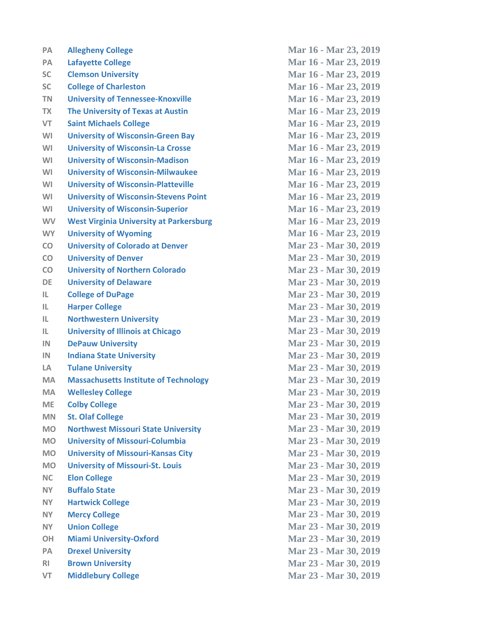| <b>PA</b>      | <b>Allegheny College</b>                       | Mar 16 - Mar 23, 2019 |
|----------------|------------------------------------------------|-----------------------|
| PA             | <b>Lafayette College</b>                       | Mar 16 - Mar 23, 2019 |
| <b>SC</b>      | <b>Clemson University</b>                      | Mar 16 - Mar 23, 2019 |
| <b>SC</b>      | <b>College of Charleston</b>                   | Mar 16 - Mar 23, 2019 |
| <b>TN</b>      | <b>University of Tennessee-Knoxville</b>       | Mar 16 - Mar 23, 2019 |
| <b>TX</b>      | The University of Texas at Austin              | Mar 16 - Mar 23, 2019 |
| <b>VT</b>      | <b>Saint Michaels College</b>                  | Mar 16 - Mar 23, 2019 |
| WI             | <b>University of Wisconsin-Green Bay</b>       | Mar 16 - Mar 23, 2019 |
| WI             | <b>University of Wisconsin-La Crosse</b>       | Mar 16 - Mar 23, 2019 |
| WI             | <b>University of Wisconsin-Madison</b>         | Mar 16 - Mar 23, 2019 |
| WI             | <b>University of Wisconsin-Milwaukee</b>       | Mar 16 - Mar 23, 2019 |
| WI             | <b>University of Wisconsin-Platteville</b>     | Mar 16 - Mar 23, 2019 |
| WI             | <b>University of Wisconsin-Stevens Point</b>   | Mar 16 - Mar 23, 2019 |
| WI             | <b>University of Wisconsin-Superior</b>        | Mar 16 - Mar 23, 2019 |
| <b>WV</b>      | <b>West Virginia University at Parkersburg</b> | Mar 16 - Mar 23, 2019 |
| <b>WY</b>      | <b>University of Wyoming</b>                   | Mar 16 - Mar 23, 2019 |
| CO             | <b>University of Colorado at Denver</b>        | Mar 23 - Mar 30, 2019 |
| CO             | <b>University of Denver</b>                    | Mar 23 - Mar 30, 2019 |
| CO             | <b>University of Northern Colorado</b>         | Mar 23 - Mar 30, 2019 |
| DE             | <b>University of Delaware</b>                  | Mar 23 - Mar 30, 2019 |
| IL.            | <b>College of DuPage</b>                       | Mar 23 - Mar 30, 2019 |
| IL.            | <b>Harper College</b>                          | Mar 23 - Mar 30, 2019 |
| IL.            | <b>Northwestern University</b>                 | Mar 23 - Mar 30, 2019 |
| IL.            | <b>University of Illinois at Chicago</b>       | Mar 23 - Mar 30, 2019 |
| IN             | <b>DePauw University</b>                       | Mar 23 - Mar 30, 2019 |
| IN             | <b>Indiana State University</b>                | Mar 23 - Mar 30, 2019 |
| LA             | <b>Tulane University</b>                       | Mar 23 - Mar 30, 2019 |
| <b>MA</b>      | <b>Massachusetts Institute of Technology</b>   | Mar 23 - Mar 30, 2019 |
| <b>MA</b>      | <b>Wellesley College</b>                       | Mar 23 - Mar 30, 2019 |
| ME             | <b>Colby College</b>                           | Mar 23 - Mar 30, 2019 |
| <b>MN</b>      | <b>St. Olaf College</b>                        | Mar 23 - Mar 30, 2019 |
| <b>MO</b>      | <b>Northwest Missouri State University</b>     | Mar 23 - Mar 30, 2019 |
| <b>MO</b>      | <b>University of Missouri-Columbia</b>         | Mar 23 - Mar 30, 2019 |
| <b>MO</b>      | <b>University of Missouri-Kansas City</b>      | Mar 23 - Mar 30, 2019 |
| <b>MO</b>      | <b>University of Missouri-St. Louis</b>        | Mar 23 - Mar 30, 2019 |
| <b>NC</b>      | <b>Elon College</b>                            | Mar 23 - Mar 30, 2019 |
| <b>NY</b>      | <b>Buffalo State</b>                           | Mar 23 - Mar 30, 2019 |
| NY.            | <b>Hartwick College</b>                        | Mar 23 - Mar 30, 2019 |
| NY.            | <b>Mercy College</b>                           | Mar 23 - Mar 30, 2019 |
| <b>NY</b>      | <b>Union College</b>                           | Mar 23 - Mar 30, 2019 |
| OH             | <b>Miami University-Oxford</b>                 | Mar 23 - Mar 30, 2019 |
| PA             | <b>Drexel University</b>                       | Mar 23 - Mar 30, 2019 |
| R <sub>1</sub> | <b>Brown University</b>                        | Mar 23 - Mar 30, 2019 |
| VT             | <b>Middlebury College</b>                      | Mar 23 - Mar 30, 2019 |
|                |                                                |                       |